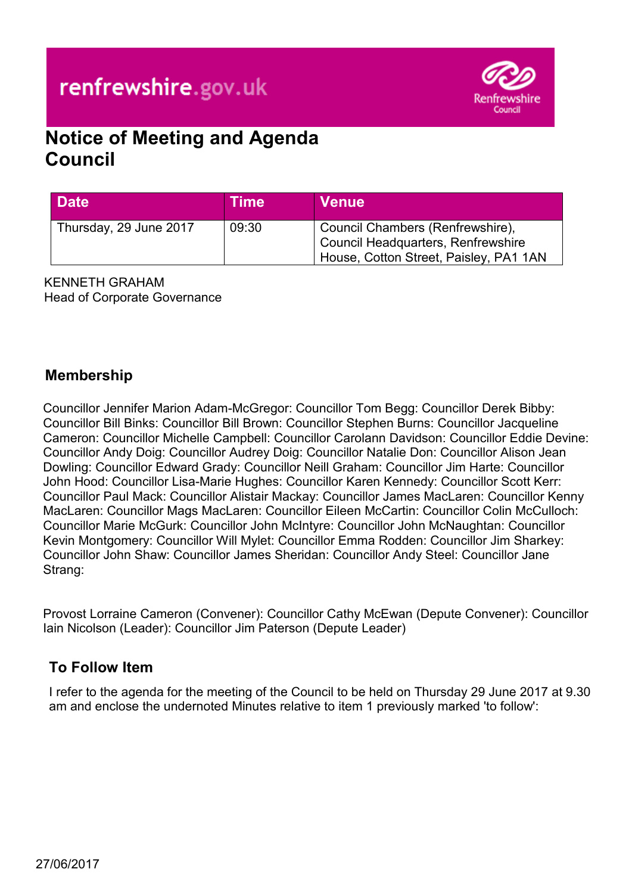# renfrewshire.gov.uk



## **Notice of Meeting and Agenda Council**

| <b>Date</b>            | Time  | <b>Venue</b>                                                                                                     |
|------------------------|-------|------------------------------------------------------------------------------------------------------------------|
| Thursday, 29 June 2017 | 09:30 | Council Chambers (Renfrewshire),<br>Council Headquarters, Renfrewshire<br>House, Cotton Street, Paisley, PA1 1AN |

KENNETH GRAHAM Head of Corporate Governance

#### **Membership**

Councillor Jennifer Marion Adam-McGregor: Councillor Tom Begg: Councillor Derek Bibby: Councillor Bill Binks: Councillor Bill Brown: Councillor Stephen Burns: Councillor Jacqueline Cameron: Councillor Michelle Campbell: Councillor Carolann Davidson: Councillor Eddie Devine: Councillor Andy Doig: Councillor Audrey Doig: Councillor Natalie Don: Councillor Alison Jean Dowling: Councillor Edward Grady: Councillor Neill Graham: Councillor Jim Harte: Councillor John Hood: Councillor Lisa-Marie Hughes: Councillor Karen Kennedy: Councillor Scott Kerr: Councillor Paul Mack: Councillor Alistair Mackay: Councillor James MacLaren: Councillor Kenny MacLaren: Councillor Mags MacLaren: Councillor Eileen McCartin: Councillor Colin McCulloch: Councillor Marie McGurk: Councillor John McIntyre: Councillor John McNaughtan: Councillor Kevin Montgomery: Councillor Will Mylet: Councillor Emma Rodden: Councillor Jim Sharkey: Councillor John Shaw: Councillor James Sheridan: Councillor Andy Steel: Councillor Jane Strang:

Provost Lorraine Cameron (Convener): Councillor Cathy McEwan (Depute Convener): Councillor Iain Nicolson (Leader): Councillor Jim Paterson (Depute Leader)

#### **To Follow Item**

I refer to the agenda for the meeting of the Council to be held on Thursday 29 June 2017 at 9.30 am and enclose the undernoted Minutes relative to item 1 previously marked 'to follow':